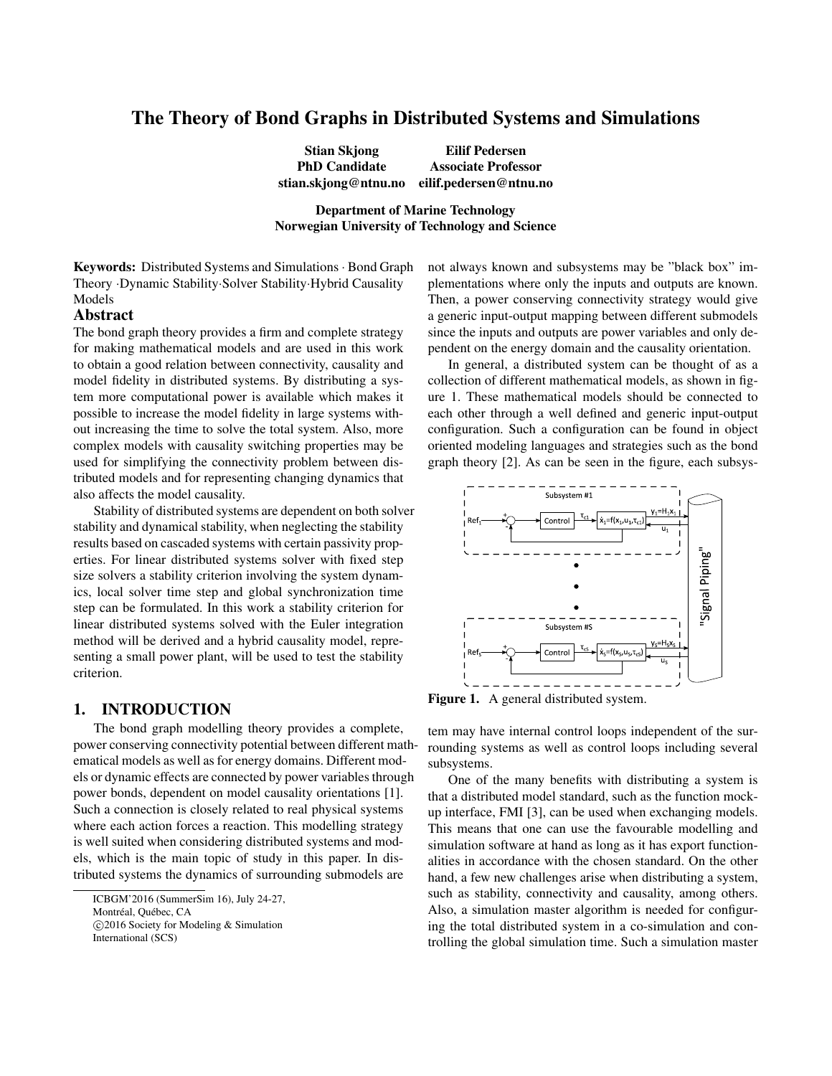# The Theory of Bond Graphs in Distributed Systems and Simulations

Stian Skjong Eilif Pedersen PhD Candidate Associate Professor stian.skjong@ntnu.no eilif.pedersen@ntnu.no

Department of Marine Technology Norwegian University of Technology and Science

Keywords: Distributed Systems and Simulations· Bond Graph Theory ·Dynamic Stability·Solver Stability·Hybrid Causality Models

### Abstract

The bond graph theory provides a firm and complete strategy for making mathematical models and are used in this work to obtain a good relation between connectivity, causality and model fidelity in distributed systems. By distributing a system more computational power is available which makes it possible to increase the model fidelity in large systems without increasing the time to solve the total system. Also, more complex models with causality switching properties may be used for simplifying the connectivity problem between distributed models and for representing changing dynamics that also affects the model causality.

Stability of distributed systems are dependent on both solver stability and dynamical stability, when neglecting the stability results based on cascaded systems with certain passivity properties. For linear distributed systems solver with fixed step size solvers a stability criterion involving the system dynamics, local solver time step and global synchronization time step can be formulated. In this work a stability criterion for linear distributed systems solved with the Euler integration method will be derived and a hybrid causality model, representing a small power plant, will be used to test the stability criterion.

#### 1. INTRODUCTION

The bond graph modelling theory provides a complete, power conserving connectivity potential between different mathematical models as well as for energy domains. Different models or dynamic effects are connected by power variables through power bonds, dependent on model causality orientations [1]. Such a connection is closely related to real physical systems where each action forces a reaction. This modelling strategy is well suited when considering distributed systems and models, which is the main topic of study in this paper. In distributed systems the dynamics of surrounding submodels are

c 2016 Society for Modeling & Simulation

not always known and subsystems may be "black box" implementations where only the inputs and outputs are known. Then, a power conserving connectivity strategy would give a generic input-output mapping between different submodels since the inputs and outputs are power variables and only dependent on the energy domain and the causality orientation.

In general, a distributed system can be thought of as a collection of different mathematical models, as shown in figure 1. These mathematical models should be connected to each other through a well defined and generic input-output configuration. Such a configuration can be found in object oriented modeling languages and strategies such as the bond graph theory [2]. As can be seen in the figure, each subsys-



Figure 1. A general distributed system.

tem may have internal control loops independent of the surrounding systems as well as control loops including several subsystems.

One of the many benefits with distributing a system is that a distributed model standard, such as the function mockup interface, FMI [3], can be used when exchanging models. This means that one can use the favourable modelling and simulation software at hand as long as it has export functionalities in accordance with the chosen standard. On the other hand, a few new challenges arise when distributing a system, such as stability, connectivity and causality, among others. Also, a simulation master algorithm is needed for configuring the total distributed system in a co-simulation and controlling the global simulation time. Such a simulation master

ICBGM'2016 (SummerSim 16), July 24-27,

Montréal, Québec, CA

International (SCS)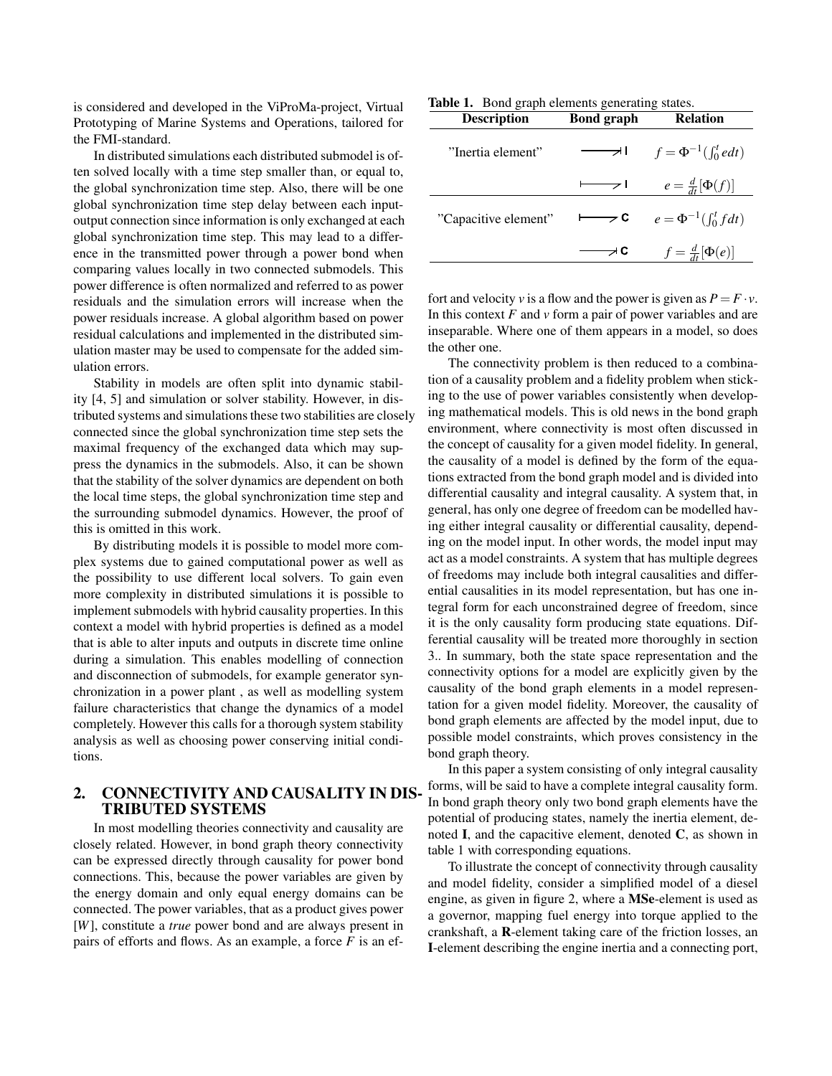is considered and developed in the ViProMa-project, Virtual Prototyping of Marine Systems and Operations, tailored for the FMI-standard.

In distributed simulations each distributed submodel is often solved locally with a time step smaller than, or equal to, the global synchronization time step. Also, there will be one global synchronization time step delay between each inputoutput connection since information is only exchanged at each global synchronization time step. This may lead to a difference in the transmitted power through a power bond when comparing values locally in two connected submodels. This power difference is often normalized and referred to as power residuals and the simulation errors will increase when the power residuals increase. A global algorithm based on power residual calculations and implemented in the distributed simulation master may be used to compensate for the added simulation errors.

Stability in models are often split into dynamic stability [4, 5] and simulation or solver stability. However, in distributed systems and simulations these two stabilities are closely connected since the global synchronization time step sets the maximal frequency of the exchanged data which may suppress the dynamics in the submodels. Also, it can be shown that the stability of the solver dynamics are dependent on both the local time steps, the global synchronization time step and the surrounding submodel dynamics. However, the proof of this is omitted in this work.

By distributing models it is possible to model more complex systems due to gained computational power as well as the possibility to use different local solvers. To gain even more complexity in distributed simulations it is possible to implement submodels with hybrid causality properties. In this context a model with hybrid properties is defined as a model that is able to alter inputs and outputs in discrete time online during a simulation. This enables modelling of connection and disconnection of submodels, for example generator synchronization in a power plant , as well as modelling system failure characteristics that change the dynamics of a model completely. However this calls for a thorough system stability analysis as well as choosing power conserving initial conditions.

# 2. CONNECTIVITY AND CAUSALITY IN DIS-TRIBUTED SYSTEMS

In most modelling theories connectivity and causality are closely related. However, in bond graph theory connectivity can be expressed directly through causality for power bond connections. This, because the power variables are given by the energy domain and only equal energy domains can be connected. The power variables, that as a product gives power [*W*], constitute a *true* power bond and are always present in pairs of efforts and flows. As an example, a force *F* is an ef-

Table 1. Bond graph elements generating states

| <b>Description</b>   | <b>Bond graph</b>                         | <b>Relation</b>                |
|----------------------|-------------------------------------------|--------------------------------|
| "Inertia element"    |                                           | $f = \Phi^{-1}(\int_0^t e dt)$ |
|                      | $\rightarrow$ $\rightarrow$ $\rightarrow$ | $e = \frac{d}{dt}[\Phi(f)]$    |
| "Capacitive element" | $\longmapsto$ C                           | $e = \Phi^{-1}(\int_0^t f dt)$ |
|                      | ⊿C                                        | $f = \frac{d}{dt}[\Phi(e)]$    |

fort and velocity *v* is a flow and the power is given as  $P = F \cdot v$ . In this context *F* and *v* form a pair of power variables and are inseparable. Where one of them appears in a model, so does the other one.

The connectivity problem is then reduced to a combination of a causality problem and a fidelity problem when sticking to the use of power variables consistently when developing mathematical models. This is old news in the bond graph environment, where connectivity is most often discussed in the concept of causality for a given model fidelity. In general, the causality of a model is defined by the form of the equations extracted from the bond graph model and is divided into differential causality and integral causality. A system that, in general, has only one degree of freedom can be modelled having either integral causality or differential causality, depending on the model input. In other words, the model input may act as a model constraints. A system that has multiple degrees of freedoms may include both integral causalities and differential causalities in its model representation, but has one integral form for each unconstrained degree of freedom, since it is the only causality form producing state equations. Differential causality will be treated more thoroughly in section 3.. In summary, both the state space representation and the connectivity options for a model are explicitly given by the causality of the bond graph elements in a model representation for a given model fidelity. Moreover, the causality of bond graph elements are affected by the model input, due to possible model constraints, which proves consistency in the bond graph theory.

In this paper a system consisting of only integral causality forms, will be said to have a complete integral causality form. In bond graph theory only two bond graph elements have the potential of producing states, namely the inertia element, denoted I, and the capacitive element, denoted  $C$ , as shown in table 1 with corresponding equations.

To illustrate the concept of connectivity through causality and model fidelity, consider a simplified model of a diesel engine, as given in figure 2, where a MSe-element is used as a governor, mapping fuel energy into torque applied to the crankshaft, a R-element taking care of the friction losses, an I-element describing the engine inertia and a connecting port,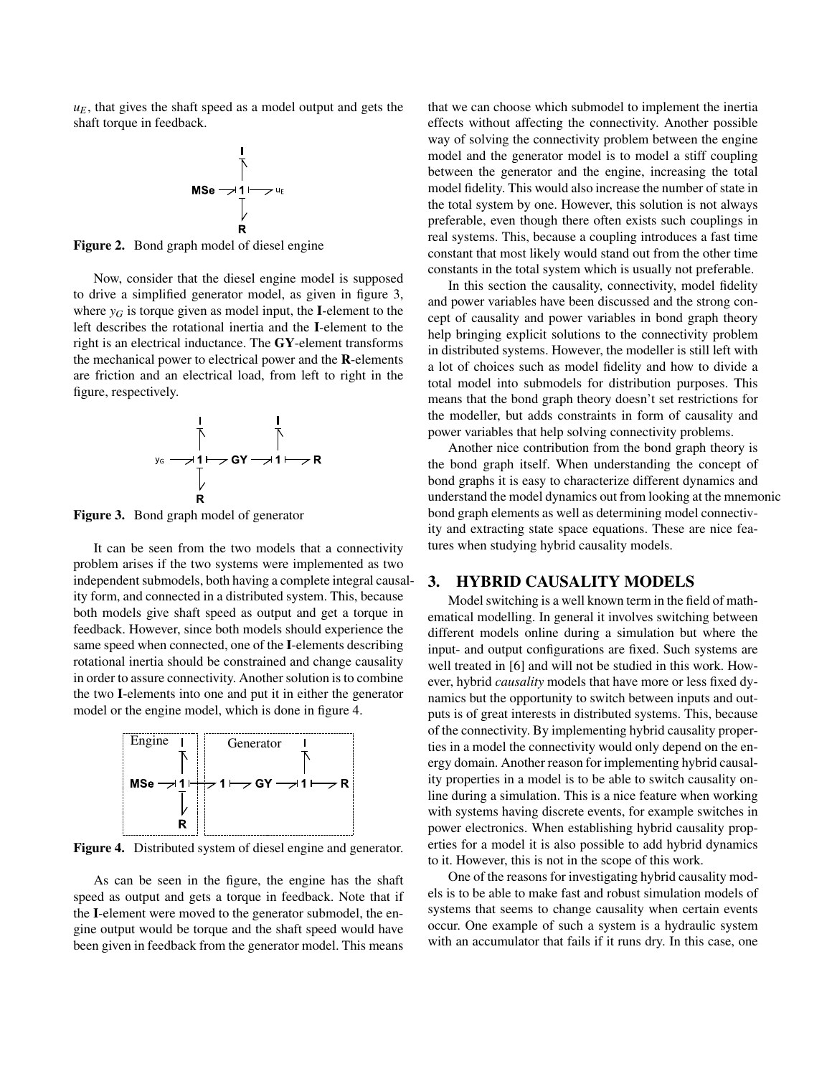$u_F$ , that gives the shaft speed as a model output and gets the shaft torque in feedback.

$$
\begin{array}{c}\n\downarrow \\
\uparrow \\
\uparrow \\
\downarrow \\
\downarrow \\
\downarrow \\
\downarrow \\
\downarrow\n\end{array}
$$

Figure 2. Bond graph model of diesel engine

Now, consider that the diesel engine model is supposed to drive a simplified generator model, as given in figure 3, where  $y_G$  is torque given as model input, the I-element to the left describes the rotational inertia and the I-element to the right is an electrical inductance. The GY-element transforms the mechanical power to electrical power and the R-elements are friction and an electrical load, from left to right in the figure, respectively.



It can be seen from the two models that a connectivity problem arises if the two systems were implemented as two independent submodels, both having a complete integral causality form, and connected in a distributed system. This, because both models give shaft speed as output and get a torque in feedback. However, since both models should experience the same speed when connected, one of the I-elements describing rotational inertia should be constrained and change causality in order to assure connectivity. Another solution is to combine the two I-elements into one and put it in either the generator model or the engine model, which is done in figure 4.



Figure 4. Distributed system of diesel engine and generator.

As can be seen in the figure, the engine has the shaft speed as output and gets a torque in feedback. Note that if the I-element were moved to the generator submodel, the engine output would be torque and the shaft speed would have been given in feedback from the generator model. This means that we can choose which submodel to implement the inertia effects without affecting the connectivity. Another possible way of solving the connectivity problem between the engine model and the generator model is to model a stiff coupling between the generator and the engine, increasing the total model fidelity. This would also increase the number of state in the total system by one. However, this solution is not always preferable, even though there often exists such couplings in real systems. This, because a coupling introduces a fast time constant that most likely would stand out from the other time constants in the total system which is usually not preferable.

In this section the causality, connectivity, model fidelity and power variables have been discussed and the strong concept of causality and power variables in bond graph theory help bringing explicit solutions to the connectivity problem in distributed systems. However, the modeller is still left with a lot of choices such as model fidelity and how to divide a total model into submodels for distribution purposes. This means that the bond graph theory doesn't set restrictions for the modeller, but adds constraints in form of causality and power variables that help solving connectivity problems.

Another nice contribution from the bond graph theory is the bond graph itself. When understanding the concept of bond graphs it is easy to characterize different dynamics and understand the model dynamics out from looking at the mnemonic bond graph elements as well as determining model connectivity and extracting state space equations. These are nice features when studying hybrid causality models.

### 3. HYBRID CAUSALITY MODELS

Model switching is a well known term in the field of mathematical modelling. In general it involves switching between different models online during a simulation but where the input- and output configurations are fixed. Such systems are well treated in [6] and will not be studied in this work. However, hybrid *causality* models that have more or less fixed dynamics but the opportunity to switch between inputs and outputs is of great interests in distributed systems. This, because of the connectivity. By implementing hybrid causality properties in a model the connectivity would only depend on the energy domain. Another reason for implementing hybrid causality properties in a model is to be able to switch causality online during a simulation. This is a nice feature when working with systems having discrete events, for example switches in power electronics. When establishing hybrid causality properties for a model it is also possible to add hybrid dynamics to it. However, this is not in the scope of this work.

One of the reasons for investigating hybrid causality models is to be able to make fast and robust simulation models of systems that seems to change causality when certain events occur. One example of such a system is a hydraulic system with an accumulator that fails if it runs dry. In this case, one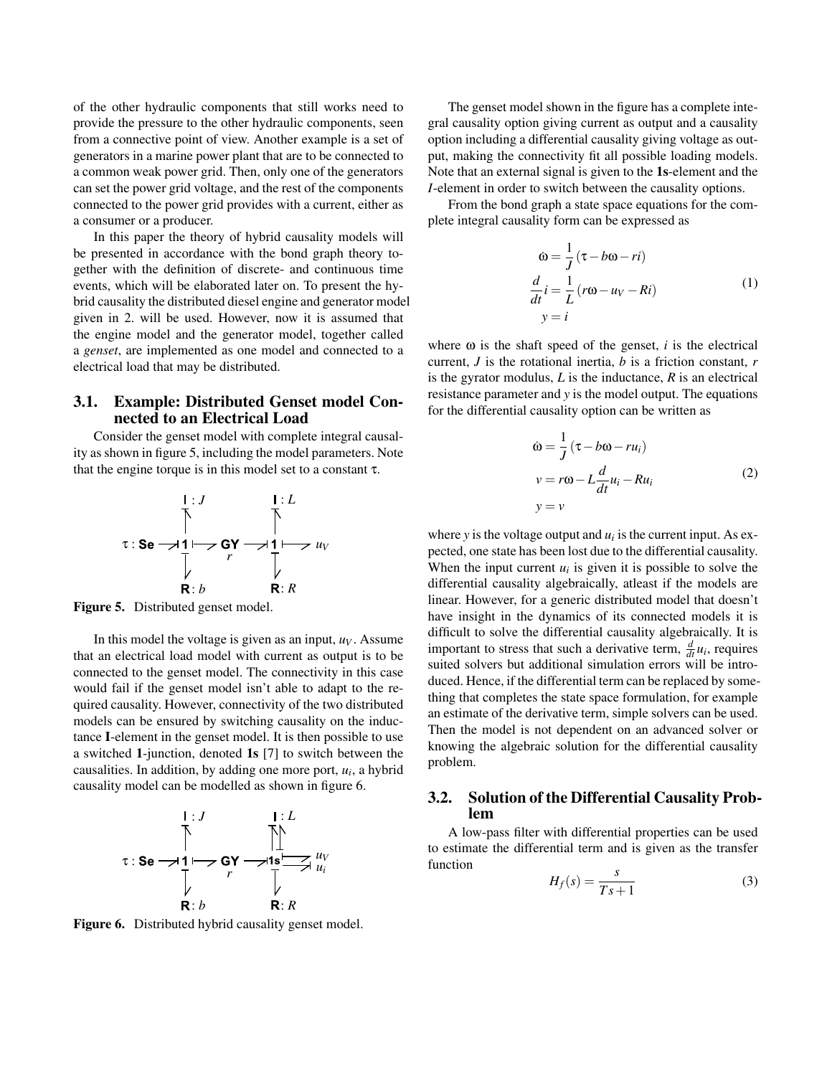of the other hydraulic components that still works need to provide the pressure to the other hydraulic components, seen from a connective point of view. Another example is a set of generators in a marine power plant that are to be connected to a common weak power grid. Then, only one of the generators can set the power grid voltage, and the rest of the components connected to the power grid provides with a current, either as a consumer or a producer.

In this paper the theory of hybrid causality models will be presented in accordance with the bond graph theory together with the definition of discrete- and continuous time events, which will be elaborated later on. To present the hybrid causality the distributed diesel engine and generator model given in 2. will be used. However, now it is assumed that the engine model and the generator model, together called a *genset*, are implemented as one model and connected to a electrical load that may be distributed.

### 3.1. Example: Distributed Genset model Connected to an Electrical Load

Consider the genset model with complete integral causality as shown in figure 5, including the model parameters. Note that the engine torque is in this model set to a constant  $\tau$ .



Figure 5. Distributed genset model.

In this model the voltage is given as an input,  $u_V$ . Assume that an electrical load model with current as output is to be connected to the genset model. The connectivity in this case would fail if the genset model isn't able to adapt to the required causality. However, connectivity of the two distributed models can be ensured by switching causality on the inductance I-element in the genset model. It is then possible to use a switched 1-junction, denoted 1s [7] to switch between the causalities. In addition, by adding one more port,  $u_i$ , a hybrid causality model can be modelled as shown in figure 6.



Figure 6. Distributed hybrid causality genset model.

The genset model shown in the figure has a complete integral causality option giving current as output and a causality option including a differential causality giving voltage as output, making the connectivity fit all possible loading models. Note that an external signal is given to the 1s-element and the *I*-element in order to switch between the causality options.

From the bond graph a state space equations for the complete integral causality form can be expressed as

$$
\begin{aligned}\n\dot{\omega} &= \frac{1}{J} (\tau - b\omega - ri) \\
\frac{d}{dt}i &= \frac{1}{L} (r\omega - u_V - Ri) \\
y &= i\n\end{aligned} \tag{1}
$$

where  $\omega$  is the shaft speed of the genset, *i* is the electrical current, *J* is the rotational inertia, *b* is a friction constant, *r* is the gyrator modulus, *L* is the inductance, *R* is an electrical resistance parameter and *y* is the model output. The equations for the differential causality option can be written as

$$
\dot{\omega} = \frac{1}{J} (\tau - b\omega - ru_i)
$$
  
\n
$$
v = r\omega - L\frac{d}{dt}u_i - Ru_i
$$
  
\n
$$
y = v
$$
\n(2)

where  $y$  is the voltage output and  $u_i$  is the current input. As expected, one state has been lost due to the differential causality. When the input current  $u_i$  is given it is possible to solve the differential causality algebraically, atleast if the models are linear. However, for a generic distributed model that doesn't have insight in the dynamics of its connected models it is difficult to solve the differential causality algebraically. It is important to stress that such a derivative term,  $\frac{d}{dt}u_i$ , requires suited solvers but additional simulation errors will be introduced. Hence, if the differential term can be replaced by something that completes the state space formulation, for example an estimate of the derivative term, simple solvers can be used. Then the model is not dependent on an advanced solver or knowing the algebraic solution for the differential causality problem.

### 3.2. Solution of the Differential Causality Problem

A low-pass filter with differential properties can be used to estimate the differential term and is given as the transfer function

$$
H_f(s) = \frac{s}{Ts + 1} \tag{3}
$$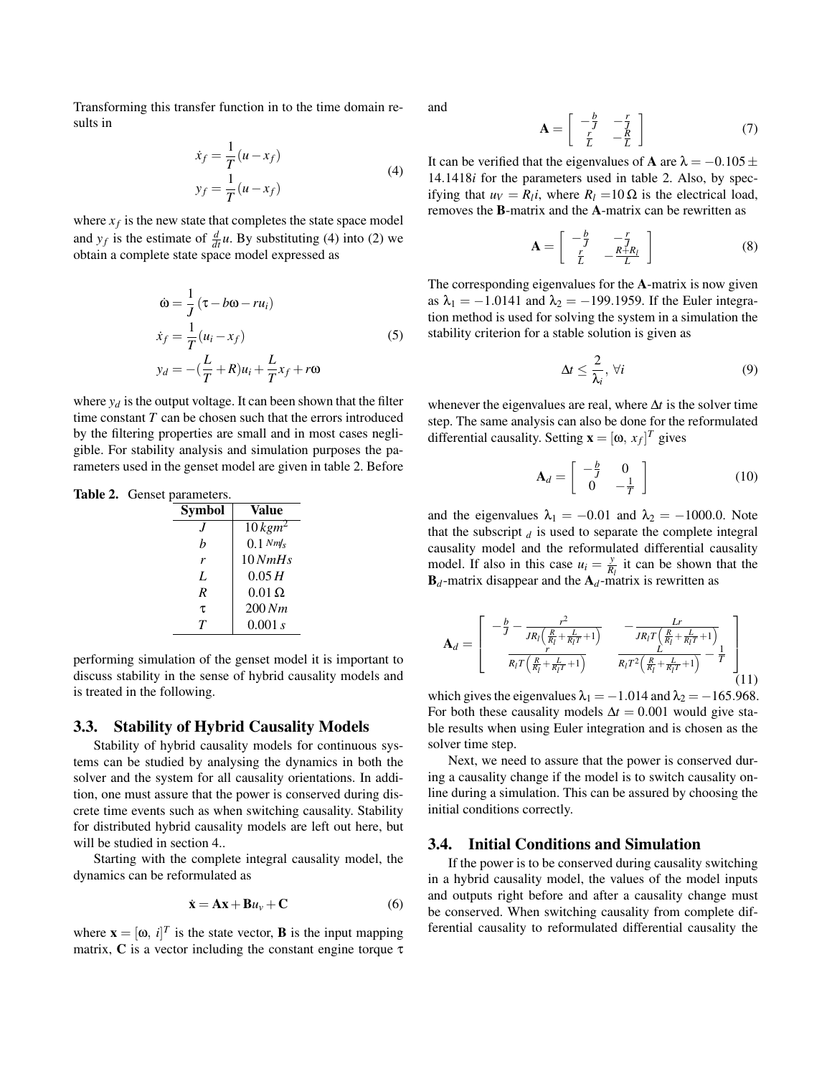Transforming this transfer function in to the time domain results in

$$
\dot{x}_f = \frac{1}{T}(u - x_f)
$$
  
\n
$$
y_f = \frac{1}{T}(u - x_f)
$$
\n(4)

where  $x_f$  is the new state that completes the state space model and  $y_f$  is the estimate of  $\frac{d}{dt}u$ . By substituting (4) into (2) we obtain a complete state space model expressed as

$$
\dot{\omega} = \frac{1}{J} (\tau - b\omega - ru_i)
$$
  
\n
$$
\dot{x}_f = \frac{1}{T} (u_i - x_f)
$$
  
\n
$$
y_d = -(\frac{L}{T} + R)u_i + \frac{L}{T}x_f + r\omega
$$
\n(5)

where  $y_d$  is the output voltage. It can been shown that the filter time constant *T* can be chosen such that the errors introduced by the filtering properties are small and in most cases negligible. For stability analysis and simulation purposes the parameters used in the genset model are given in table 2. Before

Table 2. Genset parameters.

| Symbol | Value                            |
|--------|----------------------------------|
|        |                                  |
| J      | $10 \, \text{kg} m^2$            |
| h      | $0.1$ Nm/s                       |
| r      | 10 N <sub>m</sub> H <sub>s</sub> |
| L      | 0.05 H                           |
| R      | $0.01 \Omega$                    |
| τ      | 200 Nm                           |
| 7'     | 0.001 s                          |

performing simulation of the genset model it is important to discuss stability in the sense of hybrid causality models and is treated in the following.

#### 3.3. Stability of Hybrid Causality Models

Stability of hybrid causality models for continuous systems can be studied by analysing the dynamics in both the solver and the system for all causality orientations. In addition, one must assure that the power is conserved during discrete time events such as when switching causality. Stability for distributed hybrid causality models are left out here, but will be studied in section 4..

Starting with the complete integral causality model, the dynamics can be reformulated as

$$
\dot{\mathbf{x}} = \mathbf{A}\mathbf{x} + \mathbf{B}u_{v} + \mathbf{C}
$$
 (6)

where  $\mathbf{x} = [\omega, i]^T$  is the state vector, **B** is the input mapping matrix, C is a vector including the constant engine torque  $\tau$  and

$$
\mathbf{A} = \begin{bmatrix} -\frac{b}{J} & -\frac{r}{J} \\ \frac{r}{L} & -\frac{R}{L} \end{bmatrix} \tag{7}
$$

It can be verified that the eigenvalues of **A** are  $\lambda = -0.105 \pm$ 14.1418*i* for the parameters used in table 2. Also, by specifying that  $u_V = R_l i$ , where  $R_l = 10 \Omega$  is the electrical load, removes the B-matrix and the A-matrix can be rewritten as

$$
\mathbf{A} = \begin{bmatrix} -\frac{b}{J} & -\frac{r}{K+R_l} \\ \frac{r}{L} & -\frac{R+R_l}{L} \end{bmatrix}
$$
 (8)

The corresponding eigenvalues for the A-matrix is now given as  $\lambda_1 = -1.0141$  and  $\lambda_2 = -199.1959$ . If the Euler integration method is used for solving the system in a simulation the stability criterion for a stable solution is given as

$$
\Delta t \le \frac{2}{\lambda_i}, \,\forall i \tag{9}
$$

whenever the eigenvalues are real, where ∆*t* is the solver time step. The same analysis can also be done for the reformulated differential causality. Setting  $\mathbf{x} = [\omega, x_f]^T$  gives

$$
\mathbf{A}_d = \begin{bmatrix} -\frac{b}{J} & 0\\ 0 & -\frac{1}{T} \end{bmatrix} \tag{10}
$$

and the eigenvalues  $\lambda_1 = -0.01$  and  $\lambda_2 = -1000.0$ . Note that the subscript  $\bar{d}$  is used to separate the complete integral causality model and the reformulated differential causality model. If also in this case  $u_i = \frac{y}{R}$  $\frac{y}{R_l}$  it can be shown that the  $B_d$ -matrix disappear and the  $A_d$ -matrix is rewritten as

$$
\mathbf{A}_{d} = \begin{bmatrix} -\frac{b}{J} - \frac{r^{2}}{JR_{l}\left(\frac{R}{R_{l}} + \frac{L}{R_{l}T} + 1\right)} & -\frac{Lr}{JR_{l}T\left(\frac{R}{R_{l}} + \frac{L}{R_{l}T} + 1\right)}\\ \frac{L}{R_{l}T\left(\frac{R}{R_{l}} + \frac{L}{R_{l}T} + 1\right)} & \frac{L}{R_{l}T^{2}\left(\frac{R}{R_{l}} + \frac{L}{R_{l}T} + 1\right)} - \frac{1}{T} \end{bmatrix}
$$
(11)

which gives the eigenvalues  $\lambda_1 = -1.014$  and  $\lambda_2 = -165.968$ . For both these causality models  $\Delta t = 0.001$  would give stable results when using Euler integration and is chosen as the solver time step.

Next, we need to assure that the power is conserved during a causality change if the model is to switch causality online during a simulation. This can be assured by choosing the initial conditions correctly.

#### 3.4. Initial Conditions and Simulation

If the power is to be conserved during causality switching in a hybrid causality model, the values of the model inputs and outputs right before and after a causality change must be conserved. When switching causality from complete differential causality to reformulated differential causality the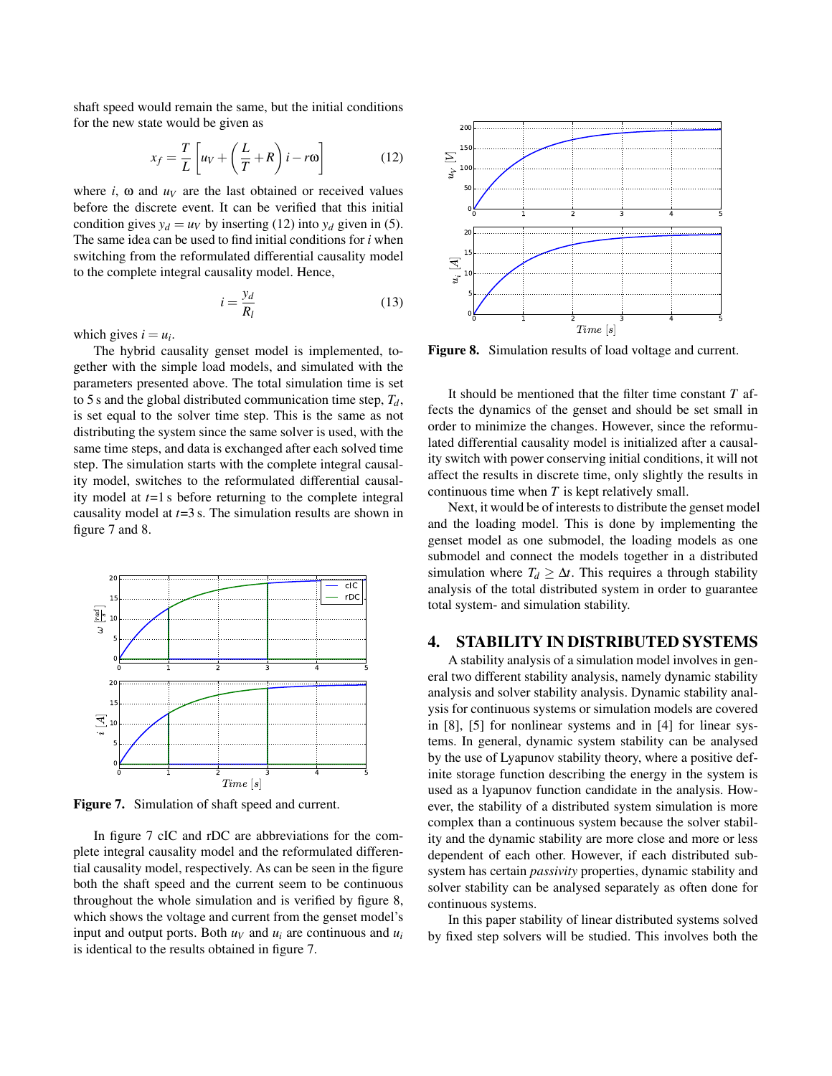shaft speed would remain the same, but the initial conditions for the new state would be given as

$$
x_f = \frac{T}{L} \left[ uv + \left( \frac{L}{T} + R \right) i - r\omega \right]
$$
 (12)

where  $i$ ,  $\omega$  and  $u_V$  are the last obtained or received values before the discrete event. It can be verified that this initial condition gives  $y_d = u_V$  by inserting (12) into  $y_d$  given in (5). The same idea can be used to find initial conditions for *i* when switching from the reformulated differential causality model to the complete integral causality model. Hence,

$$
i = \frac{y_d}{R_l} \tag{13}
$$

which gives  $i = u_i$ .

The hybrid causality genset model is implemented, together with the simple load models, and simulated with the parameters presented above. The total simulation time is set to 5 s and the global distributed communication time step,  $T_d$ , is set equal to the solver time step. This is the same as not distributing the system since the same solver is used, with the same time steps, and data is exchanged after each solved time step. The simulation starts with the complete integral causality model, switches to the reformulated differential causality model at *t*=1 s before returning to the complete integral causality model at *t*=3 s. The simulation results are shown in figure 7 and 8.



Figure 7. Simulation of shaft speed and current.

In figure 7 cIC and rDC are abbreviations for the complete integral causality model and the reformulated differential causality model, respectively. As can be seen in the figure both the shaft speed and the current seem to be continuous throughout the whole simulation and is verified by figure 8, which shows the voltage and current from the genset model's input and output ports. Both  $u_V$  and  $u_i$  are continuous and  $u_i$ is identical to the results obtained in figure 7.



Figure 8. Simulation results of load voltage and current.

It should be mentioned that the filter time constant *T* affects the dynamics of the genset and should be set small in order to minimize the changes. However, since the reformulated differential causality model is initialized after a causality switch with power conserving initial conditions, it will not affect the results in discrete time, only slightly the results in continuous time when *T* is kept relatively small.

Next, it would be of interests to distribute the genset model and the loading model. This is done by implementing the genset model as one submodel, the loading models as one submodel and connect the models together in a distributed simulation where  $T_d \geq \Delta t$ . This requires a through stability analysis of the total distributed system in order to guarantee total system- and simulation stability.

## 4. STABILITY IN DISTRIBUTED SYSTEMS

A stability analysis of a simulation model involves in general two different stability analysis, namely dynamic stability analysis and solver stability analysis. Dynamic stability analysis for continuous systems or simulation models are covered in [8], [5] for nonlinear systems and in [4] for linear systems. In general, dynamic system stability can be analysed by the use of Lyapunov stability theory, where a positive definite storage function describing the energy in the system is used as a lyapunov function candidate in the analysis. However, the stability of a distributed system simulation is more complex than a continuous system because the solver stability and the dynamic stability are more close and more or less dependent of each other. However, if each distributed subsystem has certain *passivity* properties, dynamic stability and solver stability can be analysed separately as often done for continuous systems.

In this paper stability of linear distributed systems solved by fixed step solvers will be studied. This involves both the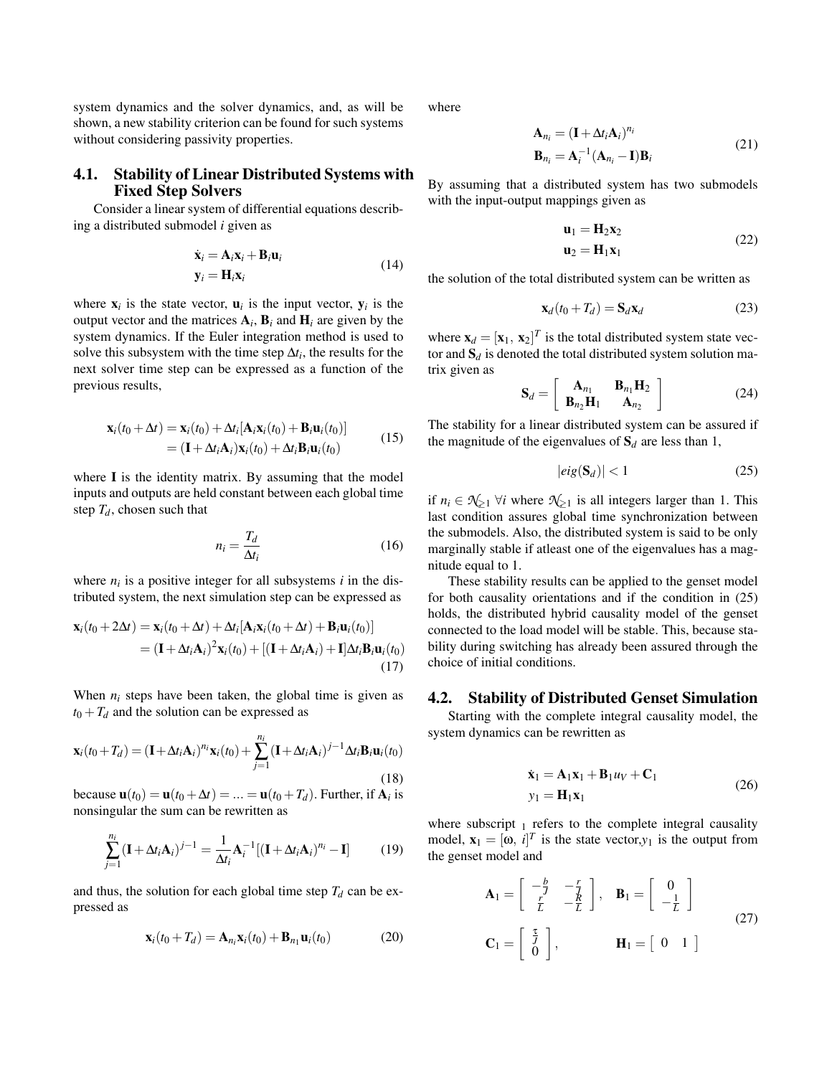system dynamics and the solver dynamics, and, as will be shown, a new stability criterion can be found for such systems without considering passivity properties.

### 4.1. Stability of Linear Distributed Systems with Fixed Step Solvers

Consider a linear system of differential equations describing a distributed submodel *i* given as

$$
\dot{\mathbf{x}}_i = \mathbf{A}_i \mathbf{x}_i + \mathbf{B}_i \mathbf{u}_i
$$
  
\n
$$
\mathbf{y}_i = \mathbf{H}_i \mathbf{x}_i
$$
 (14)

where  $\mathbf{x}_i$  is the state vector,  $\mathbf{u}_i$  is the input vector,  $\mathbf{y}_i$  is the output vector and the matrices  $A_i$ ,  $B_i$  and  $H_i$  are given by the system dynamics. If the Euler integration method is used to solve this subsystem with the time step  $\Delta t_i$ , the results for the next solver time step can be expressed as a function of the previous results,

$$
\mathbf{x}_i(t_0 + \Delta t) = \mathbf{x}_i(t_0) + \Delta t_i [\mathbf{A}_i \mathbf{x}_i(t_0) + \mathbf{B}_i \mathbf{u}_i(t_0)]
$$
  
=  $(\mathbf{I} + \Delta t_i \mathbf{A}_i) \mathbf{x}_i(t_0) + \Delta t_i \mathbf{B}_i \mathbf{u}_i(t_0)$  (15)

where I is the identity matrix. By assuming that the model inputs and outputs are held constant between each global time step  $T_d$ , chosen such that

$$
n_i = \frac{T_d}{\Delta t_i} \tag{16}
$$

where  $n_i$  is a positive integer for all subsystems  $i$  in the distributed system, the next simulation step can be expressed as

$$
\mathbf{x}_i(t_0 + 2\Delta t) = \mathbf{x}_i(t_0 + \Delta t) + \Delta t_i[\mathbf{A}_i \mathbf{x}_i(t_0 + \Delta t) + \mathbf{B}_i \mathbf{u}_i(t_0)]
$$
  
=  $(\mathbf{I} + \Delta t_i \mathbf{A}_i)^2 \mathbf{x}_i(t_0) + [(\mathbf{I} + \Delta t_i \mathbf{A}_i) + \mathbf{I}] \Delta t_i \mathbf{B}_i \mathbf{u}_i(t_0)$  (17)

When  $n_i$  steps have been taken, the global time is given as  $t_0 + T_d$  and the solution can be expressed as

$$
\mathbf{x}_i(t_0+T_d) = (\mathbf{I} + \Delta t_i \mathbf{A}_i)^{n_i} \mathbf{x}_i(t_0) + \sum_{j=1}^{n_i} (\mathbf{I} + \Delta t_i \mathbf{A}_i)^{j-1} \Delta t_i \mathbf{B}_i \mathbf{u}_i(t_0)
$$
\n(18)

because  $\mathbf{u}(t_0) = \mathbf{u}(t_0 + \Delta t) = \ldots = \mathbf{u}(t_0 + T_d)$ . Further, if  $\mathbf{A}_i$  is nonsingular the sum can be rewritten as

$$
\sum_{j=1}^{n_i} (\mathbf{I} + \Delta t_i \mathbf{A}_i)^{j-1} = \frac{1}{\Delta t_i} \mathbf{A}_i^{-1} [(\mathbf{I} + \Delta t_i \mathbf{A}_i)^{n_i} - \mathbf{I}] \tag{19}
$$

and thus, the solution for each global time step  $T_d$  can be expressed as

$$
\mathbf{x}_i(t_0 + T_d) = \mathbf{A}_{n_i} \mathbf{x}_i(t_0) + \mathbf{B}_{n_1} \mathbf{u}_i(t_0)
$$
 (20)

where

$$
\mathbf{A}_{n_i} = (\mathbf{I} + \Delta t_i \mathbf{A}_i)^{n_i}
$$
  
\n
$$
\mathbf{B}_{n_i} = \mathbf{A}_i^{-1} (\mathbf{A}_{n_i} - \mathbf{I}) \mathbf{B}_i
$$
\n(21)

By assuming that a distributed system has two submodels with the input-output mappings given as

$$
\mathbf{u}_1 = \mathbf{H}_2 \mathbf{x}_2 \n\mathbf{u}_2 = \mathbf{H}_1 \mathbf{x}_1
$$
\n(22)

the solution of the total distributed system can be written as

$$
\mathbf{x}_d(t_0 + T_d) = \mathbf{S}_d \mathbf{x}_d \tag{23}
$$

where  $\mathbf{x}_d = [\mathbf{x}_1, \mathbf{x}_2]^T$  is the total distributed system state vector and  $S_d$  is denoted the total distributed system solution matrix given as

$$
\mathbf{S}_d = \left[ \begin{array}{cc} \mathbf{A}_{n_1} & \mathbf{B}_{n_1} \mathbf{H}_2 \\ \mathbf{B}_{n_2} \mathbf{H}_1 & \mathbf{A}_{n_2} \end{array} \right] \tag{24}
$$

The stability for a linear distributed system can be assured if the magnitude of the eigenvalues of  $S_d$  are less than 1,

$$
|eig(\mathbf{S}_d)| < 1\tag{25}
$$

if *n*<sub>*i*</sub> ∈  $N_{\geq 1}$   $\forall i$  where  $N_{\geq 1}$  is all integers larger than 1. This last condition assures global time synchronization between the submodels. Also, the distributed system is said to be only marginally stable if atleast one of the eigenvalues has a magnitude equal to 1.

These stability results can be applied to the genset model for both causality orientations and if the condition in (25) holds, the distributed hybrid causality model of the genset connected to the load model will be stable. This, because stability during switching has already been assured through the choice of initial conditions.

#### 4.2. Stability of Distributed Genset Simulation

Starting with the complete integral causality model, the system dynamics can be rewritten as

$$
\dot{\mathbf{x}}_1 = \mathbf{A}_1 \mathbf{x}_1 + \mathbf{B}_1 u_V + \mathbf{C}_1
$$
  
\n
$$
y_1 = \mathbf{H}_1 \mathbf{x}_1
$$
\n(26)

where subscript  $_1$  refers to the complete integral causality model,  $\mathbf{x}_1 = [\omega, i]^T$  is the state vector,  $y_1$  is the output from the genset model and

$$
\mathbf{A}_1 = \begin{bmatrix} -\frac{b}{J} & -\frac{r}{J} \\ \frac{r}{L} & -\frac{R}{L} \end{bmatrix}, \quad \mathbf{B}_1 = \begin{bmatrix} 0 \\ -\frac{1}{L} \end{bmatrix}
$$
  

$$
\mathbf{C}_1 = \begin{bmatrix} \frac{\tau}{J} \\ 0 \end{bmatrix}, \qquad \mathbf{H}_1 = \begin{bmatrix} 0 & 1 \end{bmatrix}
$$
 (27)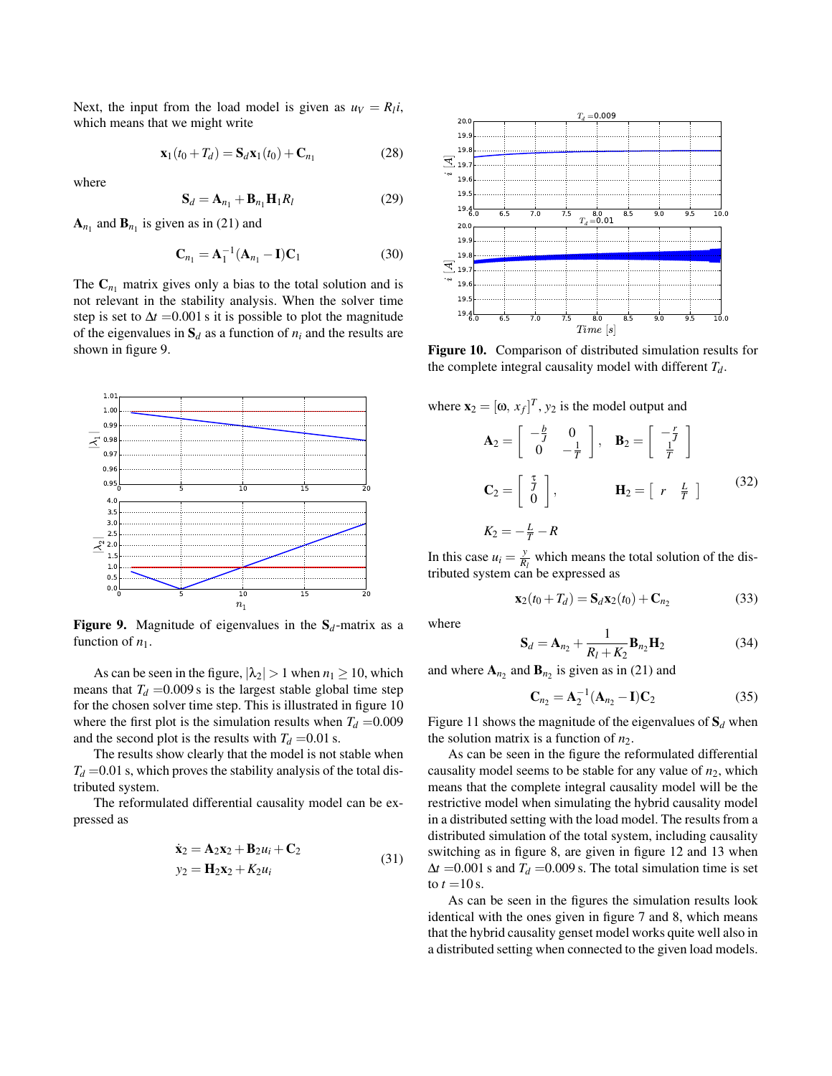Next, the input from the load model is given as  $u_V = R_l i$ , which means that we might write

$$
\mathbf{x}_1(t_0 + T_d) = \mathbf{S}_d \mathbf{x}_1(t_0) + \mathbf{C}_{n_1}
$$
 (28)

where

$$
\mathbf{S}_d = \mathbf{A}_{n_1} + \mathbf{B}_{n_1} \mathbf{H}_1 R_l \tag{29}
$$

 $A_{n_1}$  and  $B_{n_1}$  is given as in (21) and

$$
C_{n_1} = A_1^{-1} (A_{n_1} - I) C_1
$$
 (30)

The  $C_{n_1}$  matrix gives only a bias to the total solution and is not relevant in the stability analysis. When the solver time step is set to  $\Delta t = 0.001$  s it is possible to plot the magnitude of the eigenvalues in  $S_d$  as a function of  $n_i$  and the results are shown in figure 9.



**Figure 9.** Magnitude of eigenvalues in the  $S_d$ -matrix as a function of  $n_1$ .

As can be seen in the figure,  $|\lambda_2| > 1$  when  $n_1 \ge 10$ , which means that  $T_d = 0.009$  s is the largest stable global time step for the chosen solver time step. This is illustrated in figure 10 where the first plot is the simulation results when  $T_d = 0.009$ and the second plot is the results with  $T_d$  =0.01 s.

The results show clearly that the model is not stable when  $T_d$  =0.01 s, which proves the stability analysis of the total distributed system.

The reformulated differential causality model can be expressed as

$$
\dot{\mathbf{x}}_2 = \mathbf{A}_2 \mathbf{x}_2 + \mathbf{B}_2 u_i + \mathbf{C}_2
$$
  
\n
$$
y_2 = \mathbf{H}_2 \mathbf{x}_2 + K_2 u_i
$$
\n(31)



Figure 10. Comparison of distributed simulation results for the complete integral causality model with different  $T_d$ .

where 
$$
\mathbf{x}_2 = [\omega, x_f]^T
$$
,  $y_2$  is the model output and  
\n
$$
\mathbf{A}_2 = \begin{bmatrix} -\frac{b}{J} & 0 \\ 0 & -\frac{1}{T} \end{bmatrix}, \quad \mathbf{B}_2 = \begin{bmatrix} -\frac{r}{J} \\ \frac{1}{T} \end{bmatrix}
$$
\n
$$
\mathbf{C}_2 = \begin{bmatrix} \frac{r}{J} \\ 0 \end{bmatrix}, \qquad \mathbf{H}_2 = \begin{bmatrix} r & \frac{L}{T} \end{bmatrix}
$$
\n(32)\n
$$
K_2 = -\frac{L}{T} - R
$$

In this case  $u_i = \frac{y}{R}$  $\frac{y}{R_l}$  which means the total solution of the distributed system can be expressed as

$$
\mathbf{x}_2(t_0 + T_d) = \mathbf{S}_d \mathbf{x}_2(t_0) + \mathbf{C}_{n_2}
$$
 (33)

where

$$
\mathbf{S}_d = \mathbf{A}_{n_2} + \frac{1}{R_l + K_2} \mathbf{B}_{n_2} \mathbf{H}_2
$$
 (34)

and where  $A_{n_2}$  and  $B_{n_2}$  is given as in (21) and

$$
C_{n_2} = A_2^{-1} (A_{n_2} - I) C_2
$$
 (35)

Figure 11 shows the magnitude of the eigenvalues of  $S_d$  when the solution matrix is a function of  $n_2$ .

As can be seen in the figure the reformulated differential causality model seems to be stable for any value of  $n_2$ , which means that the complete integral causality model will be the restrictive model when simulating the hybrid causality model in a distributed setting with the load model. The results from a distributed simulation of the total system, including causality switching as in figure 8, are given in figure 12 and 13 when  $\Delta t = 0.001$  s and  $T_d = 0.009$  s. The total simulation time is set to  $t = 10$  s.

As can be seen in the figures the simulation results look identical with the ones given in figure 7 and 8, which means that the hybrid causality genset model works quite well also in a distributed setting when connected to the given load models.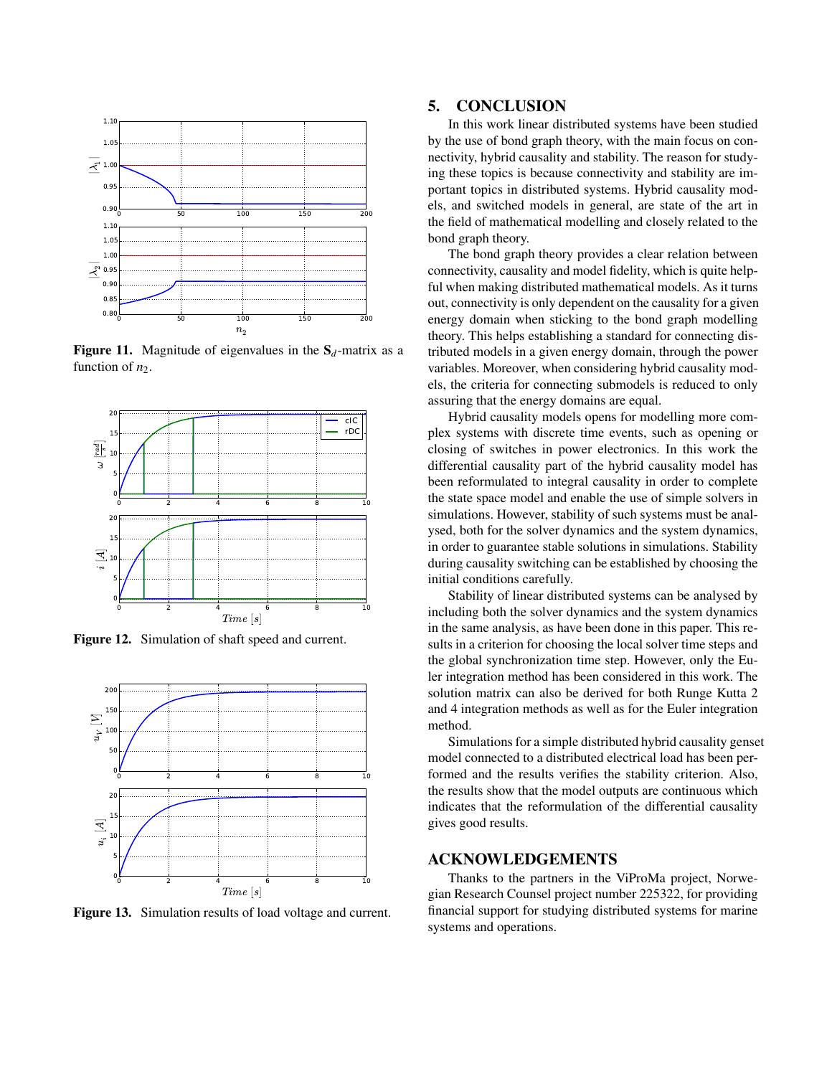

Figure 11. Magnitude of eigenvalues in the  $S_d$ -matrix as a function of  $n_2$ .



Figure 12. Simulation of shaft speed and current.



Figure 13. Simulation results of load voltage and current.

### 5. CONCLUSION

In this work linear distributed systems have been studied by the use of bond graph theory, with the main focus on connectivity, hybrid causality and stability. The reason for studying these topics is because connectivity and stability are important topics in distributed systems. Hybrid causality models, and switched models in general, are state of the art in the field of mathematical modelling and closely related to the bond graph theory.

The bond graph theory provides a clear relation between connectivity, causality and model fidelity, which is quite helpful when making distributed mathematical models. As it turns out, connectivity is only dependent on the causality for a given energy domain when sticking to the bond graph modelling theory. This helps establishing a standard for connecting distributed models in a given energy domain, through the power variables. Moreover, when considering hybrid causality models, the criteria for connecting submodels is reduced to only assuring that the energy domains are equal.

Hybrid causality models opens for modelling more complex systems with discrete time events, such as opening or closing of switches in power electronics. In this work the differential causality part of the hybrid causality model has been reformulated to integral causality in order to complete the state space model and enable the use of simple solvers in simulations. However, stability of such systems must be analysed, both for the solver dynamics and the system dynamics, in order to guarantee stable solutions in simulations. Stability during causality switching can be established by choosing the initial conditions carefully.

Stability of linear distributed systems can be analysed by including both the solver dynamics and the system dynamics in the same analysis, as have been done in this paper. This results in a criterion for choosing the local solver time steps and the global synchronization time step. However, only the Euler integration method has been considered in this work. The solution matrix can also be derived for both Runge Kutta 2 and 4 integration methods as well as for the Euler integration method.

Simulations for a simple distributed hybrid causality genset model connected to a distributed electrical load has been performed and the results verifies the stability criterion. Also, the results show that the model outputs are continuous which indicates that the reformulation of the differential causality gives good results.

### ACKNOWLEDGEMENTS

Thanks to the partners in the ViProMa project, Norwegian Research Counsel project number 225322, for providing financial support for studying distributed systems for marine systems and operations.